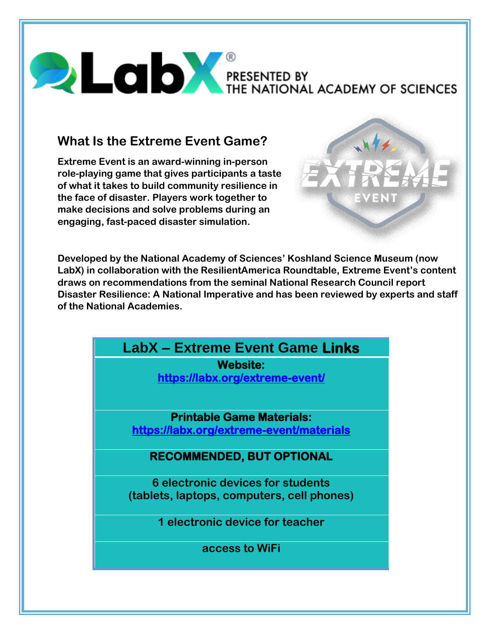# PRESENTED BY THE NATIONAL ACADEMY OF SCIENCES

# **What Is the Extreme Event Game?**

**Extreme Event is an award-winning in-person role-playing game that gives participants a taste of what it takes to build community resilience in the face of disaster. Players work together to make decisions and solve problems during an engaging, fast-paced disaster simulation.**



**Developed by the National Academy of Sciences' Koshland Science Museum (now LabX) in collaboration with the ResilientAmerica Roundtable, Extreme Event's content draws on recommendations from the seminal National Research Council report Disaster Resilience: A National Imperative and has been reviewed by experts and staff of the National Academies.**

| <b>LabX - Extreme Event Game Links</b>     |
|--------------------------------------------|
| <b>Website:</b>                            |
| https://labx.org/extreme-event/            |
|                                            |
| <b>Printable Game Materials:</b>           |
| https://labx.org/extreme-event/materials   |
|                                            |
| <b>RECOMMENDED, BUT OPTIONAL</b>           |
| 6 electronic devices for students          |
| (tablets, laptops, computers, cell phones) |
| 1 electronic device for teacher            |
| access to WiFi                             |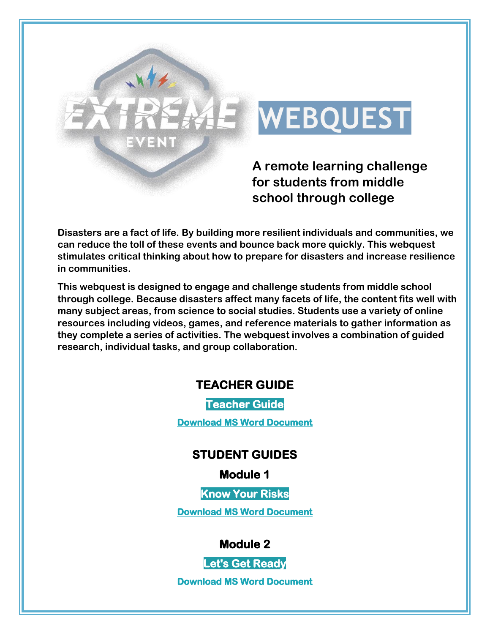

# **E** WEBQUEST

**A remote learning challenge for students from middle school through college**

**Disasters are a fact of life. By building more resilient individuals and communities, we can reduce the toll of these events and bounce back more quickly. This webquest stimulates critical thinking about how to prepare for disasters and increase resilience in communities.**

**This webquest is designed to engage and challenge students from middle school through college. Because disasters affect many facets of life, the content fits well with many subject areas, from science to social studies. Students use a variety of online resources including videos, games, and reference materials to gather information as they complete a series of activities. The webquest involves a combination of guided research, individual tasks, and group collaboration.**

#### **TEACHER GUIDE**

**[Teacher Guide](https://labx.org/wp-content/uploads/2021/01/0_TeacherGuide.pdf)**

**[Download MS Word Document](https://labx.org/wp-content/uploads/2021/01/0_TeacherGuide.docx)**

#### **STUDENT GUIDES**

**Module 1**

**[Know Your Risks](https://labx.org/wp-content/uploads/2021/01/1_StudentGuide_Know-Your-Risks.pdf)**

**[Download MS Word Document](https://labx.org/wp-content/uploads/2021/01/1_StudentGuide_Know-Your-Risks.docx)**

**Module 2**

**[Let's Get Ready](https://labx.org/wp-content/uploads/2021/01/2_StudentGuide_Lets-Get-Ready.pdf)**

**[Download MS Word Document](https://labx.org/wp-content/uploads/2021/01/2_StudentGuide_Lets-Get-Ready.docx)**